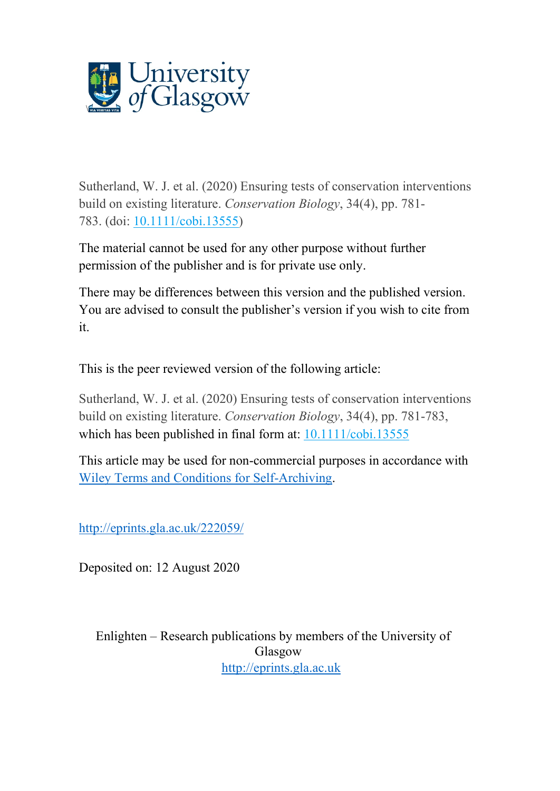

Sutherland, W. J. et al. (2020) Ensuring tests of conservation interventions build on existing literature. *Conservation Biology*, 34(4), pp. 781- 783. (doi: [10.1111/cobi.13555\)](http://dx.doi.org/10.1111/cobi.13555)

The material cannot be used for any other purpose without further permission of the publisher and is for private use only.

There may be differences between this version and the published version. You are advised to consult the publisher's version if you wish to cite from it.

This is the peer reviewed version of the following article:

Sutherland, W. J. et al. (2020) Ensuring tests of conservation interventions build on existing literature. *Conservation Biology*, 34(4), pp. 781-783, which has been published in final form at:  $10.1111/cobi.13555$ 

This article may be used for non-commercial purposes in accordance with [Wiley Terms and Conditions for Self-Archiving.](https://authorservices.wiley.com/author-resources/Journal-Authors/licensing/self-archiving.html)

<http://eprints.gla.ac.uk/222059/>

Deposited on: 12 August 2020

Enlighten – Research publications by members of the University of Glasgow [http://eprints.gla.ac.uk](http://eprints.gla.ac.uk/)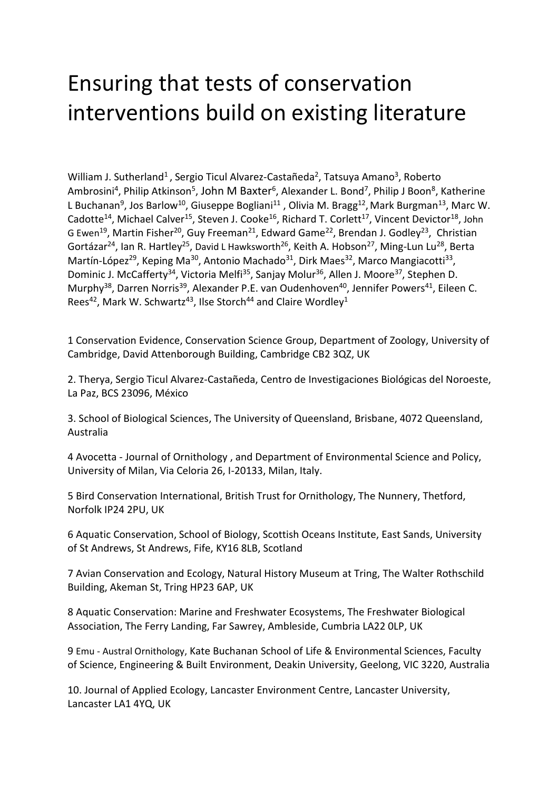## Ensuring that tests of conservation interventions build on existing literature

William J. Sutherland<sup>1</sup>, Sergio Ticul Alvarez-Castañeda<sup>2</sup>, Tatsuya Amano<sup>3</sup>, Roberto Ambrosini<sup>4</sup>, Philip Atkinson<sup>5</sup>, John M Baxter<sup>6</sup>, Alexander L. Bond<sup>7</sup>, Philip J Boon<sup>8</sup>, Katherine L Buchanan<sup>9</sup>, Jos Barlow<sup>10</sup>, Giuseppe Bogliani<sup>11</sup>, Olivia M. Bragg<sup>12</sup>, Mark Burgman<sup>13</sup>, Marc W. Cadotte<sup>14</sup>, Michael Calver<sup>15</sup>, Steven J. Cooke<sup>16</sup>, Richard T. Corlett<sup>17</sup>, Vincent Devictor<sup>18</sup>, John G Ewen<sup>19</sup>, Martin Fisher<sup>20</sup>, Guy Freeman<sup>21</sup>, Edward Game<sup>22</sup>, Brendan J. Godley<sup>23</sup>, Christian Gortázar<sup>24</sup>, Ian R. Hartley<sup>25</sup>, David L Hawksworth<sup>26</sup>, Keith A. Hobson<sup>27</sup>, Ming-Lun Lu<sup>28</sup>, Berta Martín-López<sup>29</sup>, Keping Ma<sup>30</sup>, Antonio Machado<sup>31</sup>, Dirk Maes<sup>32</sup>, Marco Mangiacotti<sup>33</sup>, Dominic J. McCafferty<sup>34</sup>, Victoria Melfi<sup>35</sup>, Sanjay Molur<sup>36</sup>, Allen J. Moore<sup>37</sup>, Stephen D. Murphy<sup>38</sup>, Darren Norris<sup>39</sup>, Alexander P.E. van Oudenhoven<sup>40</sup>, Jennifer Powers<sup>41</sup>, Eileen C. Rees<sup>42</sup>, Mark W. Schwartz<sup>43</sup>, Ilse Storch<sup>44</sup> and Claire Wordley<sup>1</sup>

1 Conservation Evidence, Conservation Science Group, Department of Zoology, University of Cambridge, David Attenborough Building, Cambridge CB2 3QZ, UK

2. Therya, Sergio Ticul Alvarez-Castañeda, Centro de Investigaciones Biológicas del Noroeste, La Paz, BCS 23096, México

3. School of Biological Sciences, The University of Queensland, Brisbane, 4072 Queensland, Australia

4 Avocetta - Journal of Ornithology , and Department of Environmental Science and Policy, University of Milan, Via Celoria 26, I-20133, Milan, Italy.

5 Bird Conservation International, British Trust for Ornithology, The Nunnery, Thetford, Norfolk IP24 2PU, UK

6 Aquatic Conservation, School of Biology, Scottish Oceans Institute, East Sands, University of St Andrews, St Andrews, Fife, KY16 8LB, Scotland

7 Avian Conservation and Ecology, Natural History Museum at Tring, The Walter Rothschild Building, Akeman St, Tring HP23 6AP, UK

8 Aquatic Conservation: Marine and Freshwater Ecosystems, The Freshwater Biological Association, The Ferry Landing, Far Sawrey, Ambleside, Cumbria LA22 0LP, UK

9 Emu - Austral Ornithology, Kate Buchanan School of Life & Environmental Sciences, Faculty of Science, Engineering & Built Environment, Deakin University, Geelong, VIC 3220, Australia

10. Journal of Applied Ecology, Lancaster Environment Centre, Lancaster University, Lancaster LA1 4YQ, UK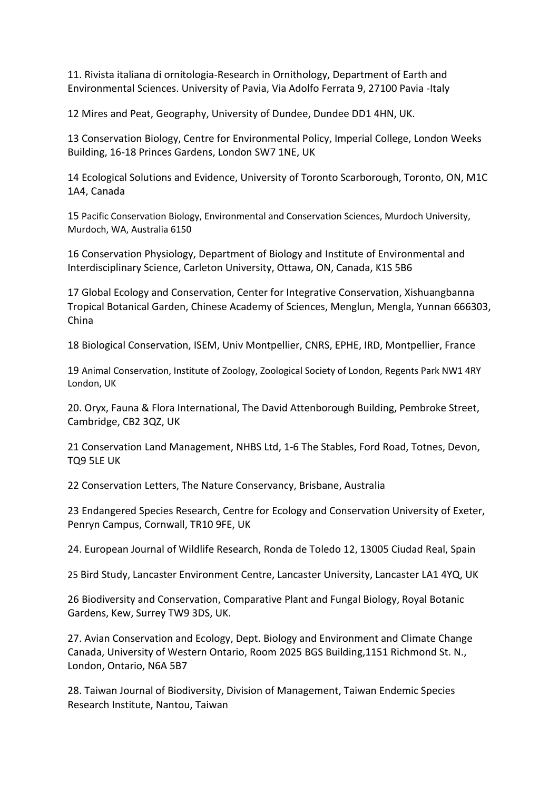11. Rivista italiana di ornitologia-Research in Ornithology, Department of Earth and Environmental Sciences. University of Pavia, Via Adolfo Ferrata 9, 27100 Pavia -Italy

12 Mires and Peat, Geography, University of Dundee, Dundee DD1 4HN, UK.

13 Conservation Biology, Centre for Environmental Policy, Imperial College, London Weeks Building, 16-18 Princes Gardens, London SW7 1NE, UK

14 Ecological Solutions and Evidence, University of Toronto Scarborough, Toronto, ON, M1C 1A4, Canada

15 Pacific Conservation Biology, Environmental and Conservation Sciences, Murdoch University, Murdoch, WA, Australia 6150

16 Conservation Physiology, Department of Biology and Institute of Environmental and Interdisciplinary Science, Carleton University, Ottawa, ON, Canada, K1S 5B6

17 Global Ecology and Conservation, Center for Integrative Conservation, Xishuangbanna Tropical Botanical Garden, Chinese Academy of Sciences, Menglun, Mengla, Yunnan 666303, China

18 Biological Conservation, ISEM, Univ Montpellier, CNRS, EPHE, IRD, Montpellier, France

19 Animal Conservation, Institute of Zoology, Zoological Society of London, Regents Park NW1 4RY London, UK

20. Oryx, Fauna & Flora International, The David Attenborough Building, Pembroke Street, Cambridge, CB2 3QZ, UK

21 Conservation Land Management, NHBS Ltd, 1-6 The Stables, Ford Road, Totnes, Devon, TQ9 5LE UK

22 Conservation Letters, The Nature Conservancy, Brisbane, Australia

23 Endangered Species Research, Centre for Ecology and Conservation University of Exeter, Penryn Campus, Cornwall, TR10 9FE, UK

24. European Journal of Wildlife Research, Ronda de Toledo 12, 13005 Ciudad Real, Spain

25 Bird Study, Lancaster Environment Centre, Lancaster University, Lancaster LA1 4YQ, UK

26 Biodiversity and Conservation, Comparative Plant and Fungal Biology, Royal Botanic Gardens, Kew, Surrey TW9 3DS, UK.

27. Avian Conservation and Ecology, Dept. Biology and Environment and Climate Change Canada, University of Western Ontario, Room 2025 BGS Building,1151 Richmond St. N., London, Ontario, N6A 5B7

28. Taiwan Journal of Biodiversity, Division of Management, Taiwan Endemic Species Research Institute, Nantou, Taiwan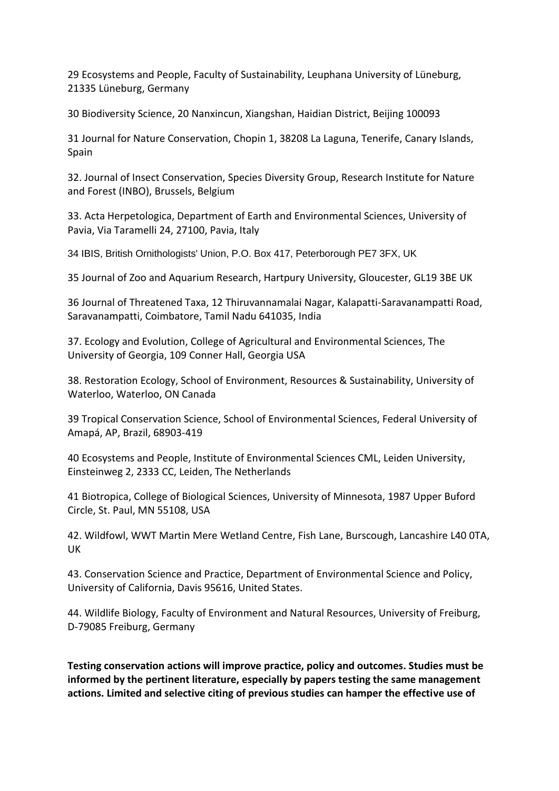29 Ecosystems and People, Faculty of Sustainability, Leuphana University of Lüneburg, 21335 Lüneburg, Germany

30 Biodiversity Science, 20 Nanxincun, Xiangshan, Haidian District, Beijing 100093

31 Journal for Nature Conservation, Chopin 1, 38208 La Laguna, Tenerife, Canary Islands, Spain

32. Journal of Insect Conservation, Species Diversity Group, Research Institute for Nature and Forest (INBO), Brussels, Belgium

33. Acta Herpetologica, Department of Earth and Environmental Sciences, University of Pavia, Via Taramelli 24, 27100, Pavia, Italy

34 IBIS, British Ornithologists' Union, P.O. Box 417, Peterborough PE7 3FX, UK

35 Journal of Zoo and Aquarium Research, Hartpury University, Gloucester, GL19 3BE UK

36 Journal of Threatened Taxa, 12 Thiruvannamalai Nagar, Kalapatti-Saravanampatti Road, Saravanampatti, Coimbatore, Tamil Nadu 641035, India

37. Ecology and Evolution, College of Agricultural and Environmental Sciences, The University of Georgia, 109 Conner Hall, Georgia USA

38. Restoration Ecology, School of Environment, Resources & Sustainability, University of Waterloo, Waterloo, ON Canada

39 Tropical Conservation Science, School of Environmental Sciences, Federal University of Amapá, AP, Brazil, 68903-419

40 Ecosystems and People, Institute of Environmental Sciences CML, Leiden University, Einsteinweg 2, 2333 CC, Leiden, The Netherlands

41 Biotropica, College of Biological Sciences, University of Minnesota, 1987 Upper Buford Circle, St. Paul, MN 55108, USA

42. Wildfowl, WWT Martin Mere Wetland Centre, Fish Lane, Burscough, Lancashire L40 0TA, UK

43. Conservation Science and Practice, Department of Environmental Science and Policy, University of California, Davis 95616, United States.

44. Wildlife Biology, Faculty of Environment and Natural Resources, University of Freiburg, D-79085 Freiburg, Germany

**Testing conservation actions will improve practice, policy and outcomes. Studies must be informed by the pertinent literature, especially by papers testing the same management actions. Limited and selective citing of previous studies can hamper the effective use of**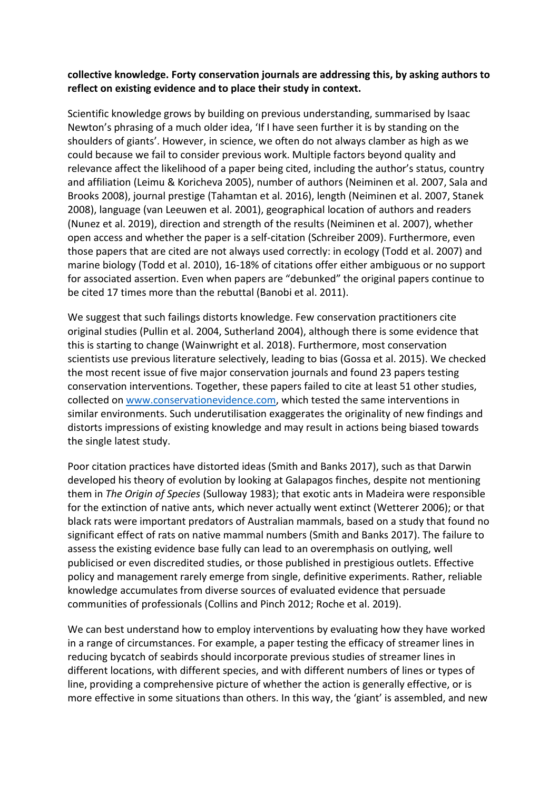## **collective knowledge. Forty conservation journals are addressing this, by asking authors to reflect on existing evidence and to place their study in context.**

Scientific knowledge grows by building on previous understanding, summarised by Isaac Newton's phrasing of a much older idea, 'If I have seen further it is by standing on the shoulders of giants'. However, in science, we often do not always clamber as high as we could because we fail to consider previous work. Multiple factors beyond quality and relevance affect the likelihood of a paper being cited, including the author's status, country and affiliation (Leimu & Koricheva 2005), number of authors (Neiminen et al. 2007, Sala and Brooks 2008), journal prestige (Tahamtan et al. 2016), length (Neiminen et al. 2007, Stanek 2008), language (van Leeuwen et al. 2001), geographical location of authors and readers (Nunez et al. 2019), direction and strength of the results (Neiminen et al. 2007), whether open access and whether the paper is a self-citation (Schreiber 2009). Furthermore, even those papers that are cited are not always used correctly: in ecology (Todd et al. 2007) and marine biology (Todd et al. 2010), 16-18% of citations offer either ambiguous or no support for associated assertion. Even when papers are "debunked" the original papers continue to be cited 17 times more than the rebuttal (Banobi et al. 2011).

We suggest that such failings distorts knowledge. Few conservation practitioners cite original studies (Pullin et al. 2004, Sutherland 2004), although there is some evidence that this is starting to change (Wainwright et al. 2018). Furthermore, most conservation scientists use previous literature selectively, leading to bias (Gossa et al. 2015). We checked the most recent issue of five major conservation journals and found 23 papers testing conservation interventions. Together, these papers failed to cite at least 51 other studies, collected on [www.conservationevidence.com,](http://www.conservationevidence.com/) which tested the same interventions in similar environments. Such underutilisation exaggerates the originality of new findings and distorts impressions of existing knowledge and may result in actions being biased towards the single latest study.

Poor citation practices have distorted ideas (Smith and Banks 2017), such as that Darwin developed his theory of evolution by looking at Galapagos finches, despite not mentioning them in *The Origin of Species* (Sulloway 1983); that exotic ants in Madeira were responsible for the extinction of native ants, which never actually went extinct (Wetterer 2006); or that black rats were important predators of Australian mammals, based on a study that found no significant effect of rats on native mammal numbers (Smith and Banks 2017). The failure to assess the existing evidence base fully can lead to an overemphasis on outlying, well publicised or even discredited studies, or those published in prestigious outlets. Effective policy and management rarely emerge from single, definitive experiments. Rather, reliable knowledge accumulates from diverse sources of evaluated evidence that persuade communities of professionals (Collins and Pinch 2012; Roche et al. 2019).

We can best understand how to employ interventions by evaluating how they have worked in a range of circumstances. For example, a paper testing the efficacy of streamer lines in reducing bycatch of seabirds should incorporate previous studies of streamer lines in different locations, with different species, and with different numbers of lines or types of line, providing a comprehensive picture of whether the action is generally effective, or is more effective in some situations than others. In this way, the 'giant' is assembled, and new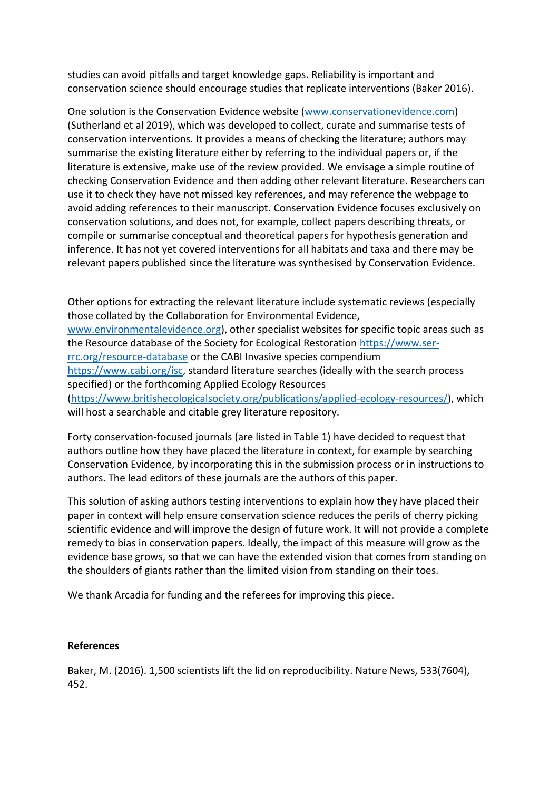studies can avoid pitfalls and target knowledge gaps. Reliability is important and conservation science should encourage studies that replicate interventions (Baker 2016).

One solution is the Conservation Evidence website [\(www.conservationevidence.com\)](http://www.conservationevidence.com/) (Sutherland et al 2019), which was developed to collect, curate and summarise tests of conservation interventions. It provides a means of checking the literature; authors may summarise the existing literature either by referring to the individual papers or, if the literature is extensive, make use of the review provided. We envisage a simple routine of checking Conservation Evidence and then adding other relevant literature. Researchers can use it to check they have not missed key references, and may reference the webpage to avoid adding references to their manuscript. Conservation Evidence focuses exclusively on conservation solutions, and does not, for example, collect papers describing threats, or compile or summarise conceptual and theoretical papers for hypothesis generation and inference. It has not yet covered interventions for all habitats and taxa and there may be relevant papers published since the literature was synthesised by Conservation Evidence.

Other options for extracting the relevant literature include systematic reviews (especially those collated by the Collaboration for Environmental Evidence, [www.environmentalevidence.org\)](http://www.environmentalevidence.org/), other specialist websites for specific topic areas such as the Resource database of the Society for Ecological Restoration [https://www.ser](https://www.ser-rrc.org/resource-database)[rrc.org/resource-database](https://www.ser-rrc.org/resource-database) or the CABI Invasive species compendium [https://www.cabi.org/isc,](https://www.cabi.org/isc) standard literature searches (ideally with the search process specified) or the forthcoming Applied Ecology Resources [\(https://www.britishecologicalsociety.org/publications/applied-ecology-resources/\)](https://www.britishecologicalsociety.org/publications/applied-ecology-resources/), which will host a searchable and citable grey literature repository.

Forty conservation-focused journals (are listed in Table 1) have decided to request that authors outline how they have placed the literature in context, for example by searching Conservation Evidence, by incorporating this in the submission process or in instructions to authors. The lead editors of these journals are the authors of this paper.

This solution of asking authors testing interventions to explain how they have placed their paper in context will help ensure conservation science reduces the perils of cherry picking scientific evidence and will improve the design of future work. It will not provide a complete remedy to bias in conservation papers. Ideally, the impact of this measure will grow as the evidence base grows, so that we can have the extended vision that comes from standing on the shoulders of giants rather than the limited vision from standing on their toes.

We thank Arcadia for funding and the referees for improving this piece.

## **References**

Baker, M. (2016). 1,500 scientists lift the lid on reproducibility. Nature News, 533(7604), 452.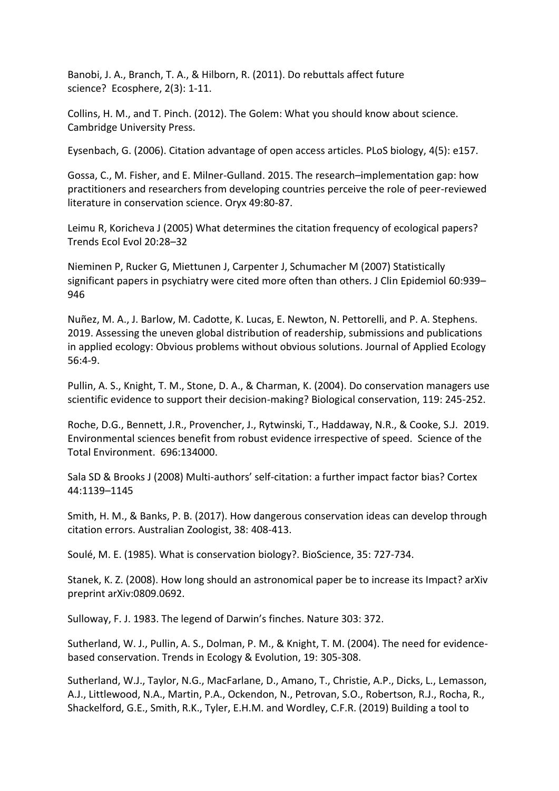Banobi, J. A., Branch, T. A., & Hilborn, R. (2011). Do rebuttals affect future science? Ecosphere, 2(3): 1-11.

Collins, H. M., and T. Pinch. (2012). The Golem: What you should know about science. Cambridge University Press.

Eysenbach, G. (2006). Citation advantage of open access articles. PLoS biology, 4(5): e157.

Gossa, C., M. Fisher, and E. Milner-Gulland. 2015. The research–implementation gap: how practitioners and researchers from developing countries perceive the role of peer-reviewed literature in conservation science. Oryx 49:80-87.

Leimu R, Koricheva J (2005) What determines the citation frequency of ecological papers? Trends Ecol Evol 20:28–32

Nieminen P, Rucker G, Miettunen J, Carpenter J, Schumacher M (2007) Statistically significant papers in psychiatry were cited more often than others. J Clin Epidemiol 60:939– 946

Nuñez, M. A., J. Barlow, M. Cadotte, K. Lucas, E. Newton, N. Pettorelli, and P. A. Stephens. 2019. Assessing the uneven global distribution of readership, submissions and publications in applied ecology: Obvious problems without obvious solutions. Journal of Applied Ecology 56:4-9.

Pullin, A. S., Knight, T. M., Stone, D. A., & Charman, K. (2004). Do conservation managers use scientific evidence to support their decision-making? Biological conservation, 119: 245-252.

Roche, D.G., Bennett, J.R., Provencher, J., Rytwinski, T., Haddaway, N.R., & Cooke, S.J. 2019. Environmental sciences benefit from robust evidence irrespective of speed. Science of the Total Environment. 696:134000.

Sala SD & Brooks J (2008) Multi-authors' self-citation: a further impact factor bias? Cortex 44:1139–1145

Smith, H. M., & Banks, P. B. (2017). How dangerous conservation ideas can develop through citation errors. Australian Zoologist, 38: 408-413.

Soulé, M. E. (1985). What is conservation biology?. BioScience, 35: 727-734.

Stanek, K. Z. (2008). How long should an astronomical paper be to increase its Impact? arXiv preprint arXiv:0809.0692.

Sulloway, F. J. 1983. The legend of Darwin's finches. Nature 303: 372.

Sutherland, W. J., Pullin, A. S., Dolman, P. M., & Knight, T. M. (2004). The need for evidencebased conservation. Trends in Ecology & Evolution, 19: 305-308.

Sutherland, W.J., Taylor, N.G., MacFarlane, D., Amano, T., Christie, A.P., Dicks, L., Lemasson, A.J., Littlewood, N.A., Martin, P.A., Ockendon, N., Petrovan, S.O., Robertson, R.J., Rocha, R., Shackelford, G.E., Smith, R.K., Tyler, E.H.M. and Wordley, C.F.R. (2019) Building a tool to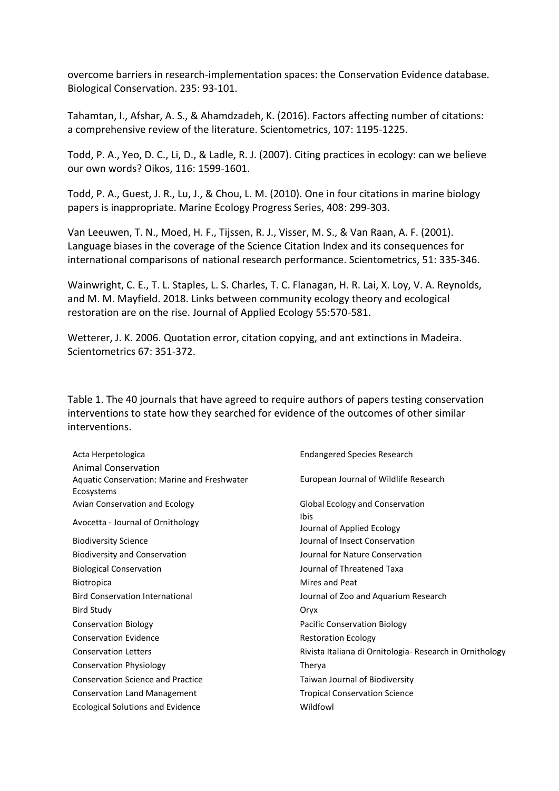overcome barriers in research-implementation spaces: the Conservation Evidence database. Biological Conservation. 235: 93-101.

Tahamtan, I., Afshar, A. S., & Ahamdzadeh, K. (2016). Factors affecting number of citations: a comprehensive review of the literature. Scientometrics, 107: 1195-1225.

Todd, P. A., Yeo, D. C., Li, D., & Ladle, R. J. (2007). Citing practices in ecology: can we believe our own words? Oikos, 116: 1599-1601.

Todd, P. A., Guest, J. R., Lu, J., & Chou, L. M. (2010). One in four citations in marine biology papers is inappropriate. Marine Ecology Progress Series, 408: 299-303.

Van Leeuwen, T. N., Moed, H. F., Tijssen, R. J., Visser, M. S., & Van Raan, A. F. (2001). Language biases in the coverage of the Science Citation Index and its consequences for international comparisons of national research performance. Scientometrics, 51: 335-346.

Wainwright, C. E., T. L. Staples, L. S. Charles, T. C. Flanagan, H. R. Lai, X. Loy, V. A. Reynolds, and M. M. Mayfield. 2018. Links between community ecology theory and ecological restoration are on the rise. Journal of Applied Ecology 55:570-581.

Wetterer, J. K. 2006. Quotation error, citation copying, and ant extinctions in Madeira. Scientometrics 67: 351-372.

Table 1. The 40 journals that have agreed to require authors of papers testing conservation interventions to state how they searched for evidence of the outcomes of other similar interventions.

| Acta Herpetologica                          | <b>Endangered Species Research</b>                       |
|---------------------------------------------|----------------------------------------------------------|
| <b>Animal Conservation</b>                  |                                                          |
| Aquatic Conservation: Marine and Freshwater | European Journal of Wildlife Research                    |
| Ecosystems                                  |                                                          |
| Avian Conservation and Ecology              | Global Ecology and Conservation                          |
| Avocetta - Journal of Ornithology           | Ibis                                                     |
|                                             | Journal of Applied Ecology                               |
| <b>Biodiversity Science</b>                 | Journal of Insect Conservation                           |
| <b>Biodiversity and Conservation</b>        | Journal for Nature Conservation                          |
| <b>Biological Conservation</b>              | Journal of Threatened Taxa                               |
| <b>Biotropica</b>                           | Mires and Peat                                           |
| <b>Bird Conservation International</b>      | Journal of Zoo and Aquarium Research                     |
| Bird Study                                  | Oryx                                                     |
| <b>Conservation Biology</b>                 | Pacific Conservation Biology                             |
| <b>Conservation Evidence</b>                | <b>Restoration Ecology</b>                               |
| <b>Conservation Letters</b>                 | Rivista Italiana di Ornitologia- Research in Ornithology |
| <b>Conservation Physiology</b>              | Therya                                                   |
| <b>Conservation Science and Practice</b>    | Taiwan Journal of Biodiversity                           |
| <b>Conservation Land Management</b>         | <b>Tropical Conservation Science</b>                     |
| <b>Ecological Solutions and Evidence</b>    | Wildfowl                                                 |